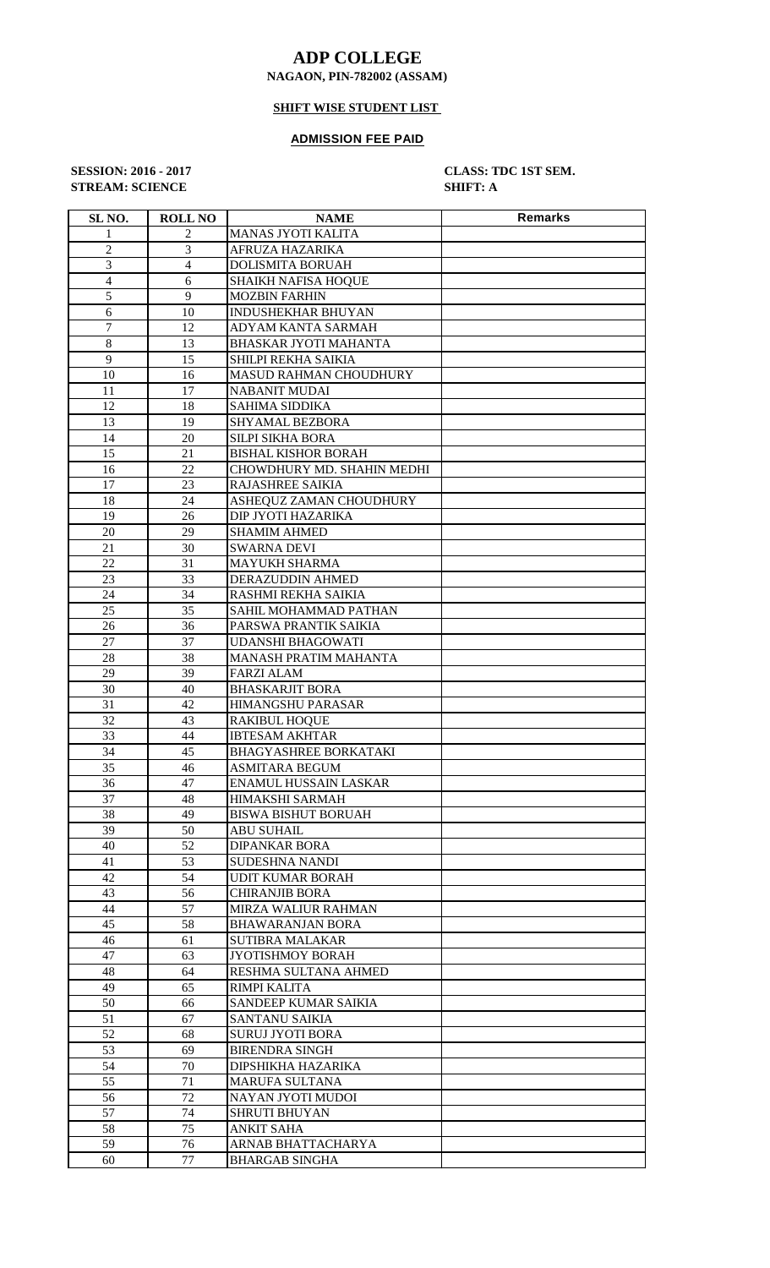## **ADP COLLEGE**

#### **NAGAON, PIN-782002 (ASSAM)**

# **SHIFT WISE STUDENT LIST**

#### **ADMISSION FEE PAID**

**STREAM: SCIENCE SHIFT: A**

**SESSION: 2016 - 2017 CLASS: TDC 1ST SEM.**

| SL <sub>NO.</sub> | <b>ROLL NO</b> | <b>NAME</b>                  | <b>Remarks</b> |
|-------------------|----------------|------------------------------|----------------|
| 1                 | 2              | <b>MANAS JYOTI KALITA</b>    |                |
| 2                 | 3              | AFRUZA HAZARIKA              |                |
| 3                 | 4              | <b>DOLISMITA BORUAH</b>      |                |
| $\overline{4}$    | 6              | <b>SHAIKH NAFISA HOQUE</b>   |                |
| 5                 | 9              | <b>MOZBIN FARHIN</b>         |                |
| 6                 | 10             | INDUSHEKHAR BHUYAN           |                |
| $\tau$            | 12             | ADYAM KANTA SARMAH           |                |
|                   |                |                              |                |
| 8                 | 13             | <b>BHASKAR JYOTI MAHANTA</b> |                |
| 9                 | 15             | SHILPI REKHA SAIKIA          |                |
| 10                | 16             | MASUD RAHMAN CHOUDHURY       |                |
| 11                | 17             | <b>NABANIT MUDAI</b>         |                |
| 12                | 18             | <b>SAHIMA SIDDIKA</b>        |                |
| 13                | 19             | SHYAMAL BEZBORA              |                |
| 14                | 20             | SILPI SIKHA BORA             |                |
| 15                | 21             | <b>BISHAL KISHOR BORAH</b>   |                |
| 16                | 22             | CHOWDHURY MD. SHAHIN MEDHI   |                |
| 17                | 23             | RAJASHREE SAIKIA             |                |
| 18                | 24             | ASHEQUZ ZAMAN CHOUDHURY      |                |
| 19                | 26             | DIP JYOTI HAZARIKA           |                |
| 20                | 29             | <b>SHAMIM AHMED</b>          |                |
| 21                | 30             | <b>SWARNA DEVI</b>           |                |
| 22                | 31             | <b>MAYUKH SHARMA</b>         |                |
| 23                | 33             | DERAZUDDIN AHMED             |                |
| 24                | 34             | RASHMI REKHA SAIKIA          |                |
| 25                | 35             | SAHIL MOHAMMAD PATHAN        |                |
| 26                | 36             | PARSWA PRANTIK SAIKIA        |                |
| 27                | 37             | UDANSHI BHAGOWATI            |                |
| 28                | 38             | MANASH PRATIM MAHANTA        |                |
| 29                | 39             | <b>FARZI ALAM</b>            |                |
| 30                | 40             | <b>BHASKARJIT BORA</b>       |                |
|                   | 42             | HIMANGSHU PARASAR            |                |
| 31                |                |                              |                |
| 32                | 43             | <b>RAKIBUL HOQUE</b>         |                |
| 33                | 44             | <b>IBTESAM AKHTAR</b>        |                |
| 34                | 45             | <b>BHAGYASHREE BORKATAKI</b> |                |
| 35                | 46             | <b>ASMITARA BEGUM</b>        |                |
| 36                | 47             | ENAMUL HUSSAIN LASKAR        |                |
| 37                | 48             | HIMAKSHI SARMAH              |                |
| 38                | 49             | <b>BISWA BISHUT BORUAH</b>   |                |
| 39                | 50             | ABU SUHAIL                   |                |
| 40                | 52             | <b>DIPANKAR BORA</b>         |                |
| 41                | 53             | SUDESHNA NANDI               |                |
| 42                | 54             | <b>UDIT KUMAR BORAH</b>      |                |
| 43                | 56             | <b>CHIRANJIB BORA</b>        |                |
| 44                | 57             | MIRZA WALIUR RAHMAN          |                |
| 45                | 58             | <b>BHAWARANJAN BORA</b>      |                |
| 46                | 61             | <b>SUTIBRA MALAKAR</b>       |                |
| 47                | 63             | <b>JYOTISHMOY BORAH</b>      |                |
| 48                | 64             | RESHMA SULTANA AHMED         |                |
| 49                | 65             | RIMPI KALITA                 |                |
| 50                | 66             | SANDEEP KUMAR SAIKIA         |                |
| 51                | 67             | <b>SANTANU SAIKIA</b>        |                |
| 52                | 68             | <b>SURUJ JYOTI BORA</b>      |                |
| 53                | 69             | <b>BIRENDRA SINGH</b>        |                |
| 54                | 70             | DIPSHIKHA HAZARIKA           |                |
| 55                | 71             | <b>MARUFA SULTANA</b>        |                |
| 56                | 72             | NAYAN JYOTI MUDOI            |                |
| 57                | 74             | <b>SHRUTI BHUYAN</b>         |                |
| 58                | 75             | <b>ANKIT SAHA</b>            |                |
|                   |                |                              |                |
| 59                | 76             | ARNAB BHATTACHARYA           |                |
| 60                | 77             | <b>BHARGAB SINGHA</b>        |                |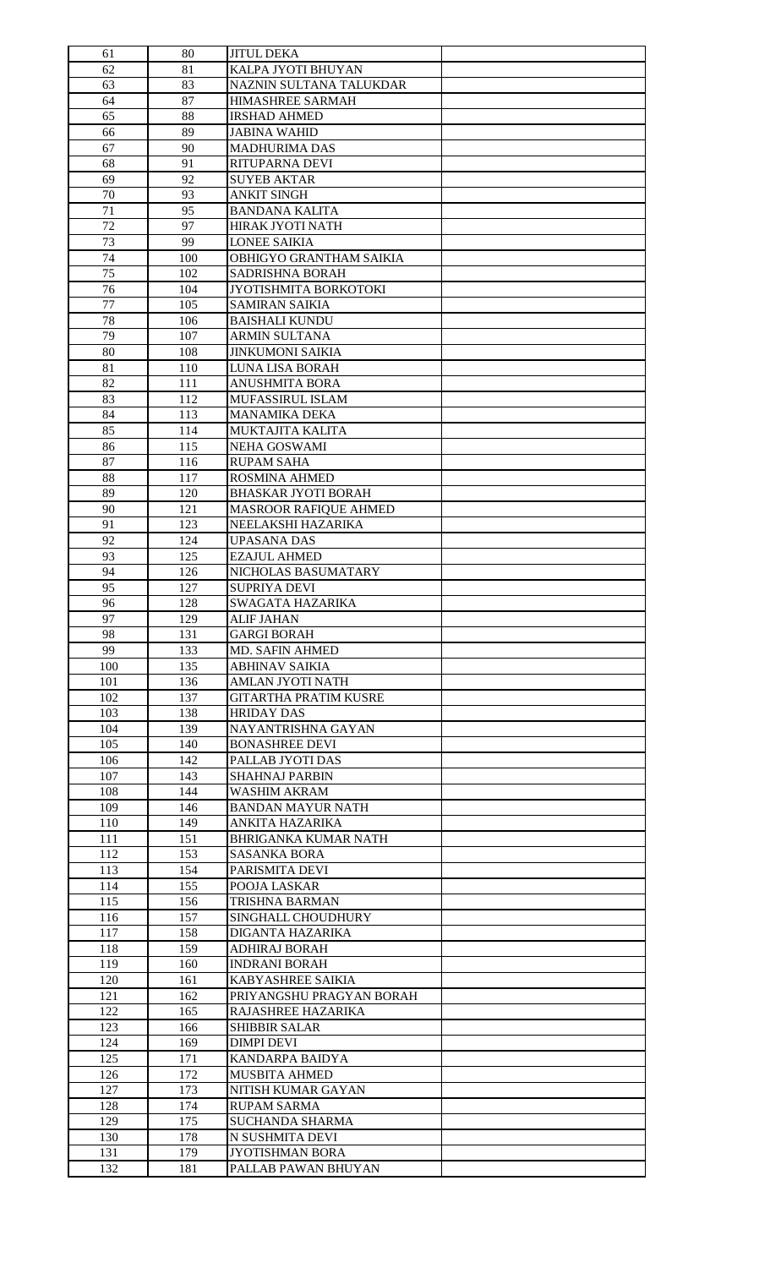| 61  | 80  | <b>JITUL DEKA</b>            |  |
|-----|-----|------------------------------|--|
| 62  | 81  | KALPA JYOTI BHUYAN           |  |
| 63  | 83  | NAZNIN SULTANA TALUKDAR      |  |
| 64  | 87  | <b>HIMASHREE SARMAH</b>      |  |
| 65  | 88  | <b>IRSHAD AHMED</b>          |  |
| 66  | 89  | <b>JABINA WAHID</b>          |  |
|     |     |                              |  |
| 67  | 90  | <b>MADHURIMA DAS</b>         |  |
| 68  | 91  | RITUPARNA DEVI               |  |
| 69  | 92  | <b>SUYEB AKTAR</b>           |  |
| 70  | 93  | <b>ANKIT SINGH</b>           |  |
| 71  | 95  | <b>BANDANA KALITA</b>        |  |
| 72  | 97  | <b>HIRAK JYOTI NATH</b>      |  |
| 73  | 99  | <b>LONEE SAIKIA</b>          |  |
| 74  | 100 | OBHIGYO GRANTHAM SAIKIA      |  |
| 75  | 102 | SADRISHNA BORAH              |  |
| 76  | 104 | JYOTISHMITA BORKOTOKI        |  |
| 77  | 105 | <b>SAMIRAN SAIKIA</b>        |  |
|     |     |                              |  |
| 78  | 106 | <b>BAISHALI KUNDU</b>        |  |
| 79  | 107 | <b>ARMIN SULTANA</b>         |  |
| 80  | 108 | <b>JINKUMONI SAIKIA</b>      |  |
| 81  | 110 | <b>LUNA LISA BORAH</b>       |  |
| 82  | 111 | <b>ANUSHMITA BORA</b>        |  |
| 83  | 112 | MUFASSIRUL ISLAM             |  |
| 84  | 113 | <b>MANAMIKA DEKA</b>         |  |
| 85  | 114 | <b>MUKTAJITA KALITA</b>      |  |
| 86  | 115 | <b>NEHA GOSWAMI</b>          |  |
| 87  | 116 | <b>RUPAM SAHA</b>            |  |
| 88  | 117 | <b>ROSMINA AHMED</b>         |  |
|     |     |                              |  |
| 89  | 120 | <b>BHASKAR JYOTI BORAH</b>   |  |
| 90  | 121 | <b>MASROOR RAFIQUE AHMED</b> |  |
| 91  | 123 | NEELAKSHI HAZARIKA           |  |
| 92  | 124 | <b>UPASANA DAS</b>           |  |
| 93  | 125 | <b>EZAJUL AHMED</b>          |  |
| 94  | 126 | NICHOLAS BASUMATARY          |  |
| 95  | 127 | <b>SUPRIYA DEVI</b>          |  |
| 96  | 128 | SWAGATA HAZARIKA             |  |
| 97  | 129 | <b>ALIF JAHAN</b>            |  |
| 98  | 131 | <b>GARGI BORAH</b>           |  |
| 99  | 133 | MD. SAFIN AHMED              |  |
|     |     |                              |  |
| 100 | 135 | ABHINAV SAIKIA               |  |
| 101 | 136 | AMLAN JYOTI NATH             |  |
| 102 | 137 | <b>GITARTHA PRATIM KUSRE</b> |  |
| 103 | 138 | <b>HRIDAY DAS</b>            |  |
| 104 | 139 | NAYANTRISHNA GAYAN           |  |
| 105 | 140 | <b>BONASHREE DEVI</b>        |  |
| 106 | 142 | PALLAB JYOTI DAS             |  |
| 107 | 143 | <b>SHAHNAJ PARBIN</b>        |  |
| 108 | 144 | <b>WASHIM AKRAM</b>          |  |
| 109 | 146 | <b>BANDAN MAYUR NATH</b>     |  |
|     | 149 | ANKITA HAZARIKA              |  |
| 110 |     |                              |  |
| 111 | 151 | <b>BHRIGANKA KUMAR NATH</b>  |  |
| 112 | 153 | <b>SASANKA BORA</b>          |  |
| 113 | 154 | PARISMITA DEVI               |  |
| 114 | 155 | POOJA LASKAR                 |  |
| 115 | 156 | TRISHNA BARMAN               |  |
| 116 | 157 | SINGHALL CHOUDHURY           |  |
| 117 | 158 | DIGANTA HAZARIKA             |  |
| 118 | 159 | <b>ADHIRAJ BORAH</b>         |  |
| 119 | 160 | <b>INDRANI BORAH</b>         |  |
| 120 | 161 | KABYASHREE SAIKIA            |  |
| 121 | 162 | PRIYANGSHU PRAGYAN BORAH     |  |
|     |     |                              |  |
| 122 | 165 | RAJASHREE HAZARIKA           |  |
| 123 | 166 | <b>SHIBBIR SALAR</b>         |  |
| 124 | 169 | <b>DIMPI DEVI</b>            |  |
| 125 | 171 | KANDARPA BAIDYA              |  |
| 126 | 172 | <b>MUSBITA AHMED</b>         |  |
| 127 | 173 | NITISH KUMAR GAYAN           |  |
| 128 | 174 | <b>RUPAM SARMA</b>           |  |
| 129 | 175 | <b>SUCHANDA SHARMA</b>       |  |
| 130 | 178 | N SUSHMITA DEVI              |  |
| 131 | 179 | <b>JYOTISHMAN BORA</b>       |  |
|     |     |                              |  |
| 132 | 181 | PALLAB PAWAN BHUYAN          |  |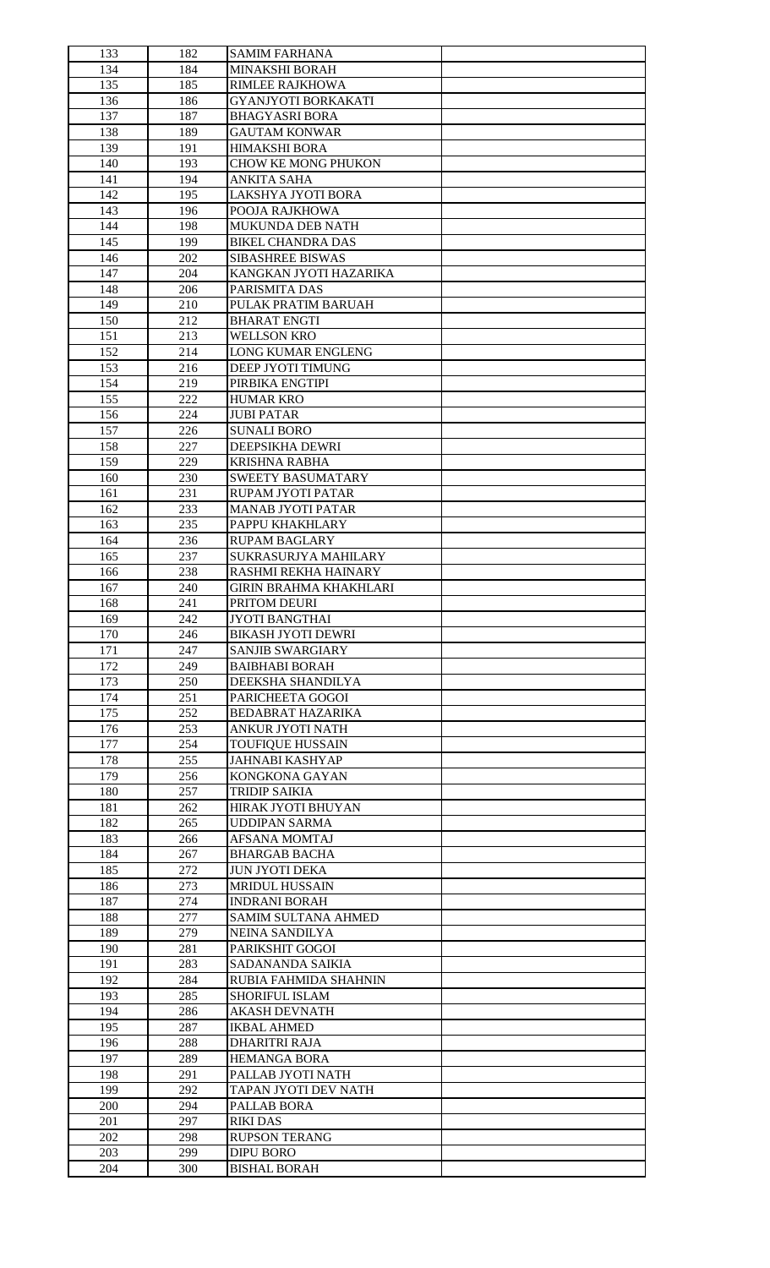| 133 | 182 | <b>SAMIM FARHANA</b>          |  |
|-----|-----|-------------------------------|--|
| 134 | 184 | <b>MINAKSHI BORAH</b>         |  |
| 135 | 185 | <b>RIMLEE RAJKHOWA</b>        |  |
| 136 | 186 | GYANJYOTI BORKAKATI           |  |
| 137 | 187 | <b>BHAGYASRI BORA</b>         |  |
| 138 | 189 | <b>GAUTAM KONWAR</b>          |  |
|     |     |                               |  |
| 139 | 191 | <b>HIMAKSHI BORA</b>          |  |
| 140 | 193 | CHOW KE MONG PHUKON           |  |
| 141 | 194 | <b>ANKITA SAHA</b>            |  |
| 142 | 195 | LAKSHYA JYOTI BORA            |  |
| 143 | 196 | POOJA RAJKHOWA                |  |
| 144 | 198 | <b>MUKUNDA DEB NATH</b>       |  |
| 145 | 199 | <b>BIKEL CHANDRA DAS</b>      |  |
| 146 | 202 | <b>SIBASHREE BISWAS</b>       |  |
| 147 | 204 | KANGKAN JYOTI HAZARIKA        |  |
| 148 | 206 | PARISMITA DAS                 |  |
| 149 | 210 | PULAK PRATIM BARUAH           |  |
| 150 | 212 | <b>BHARAT ENGTI</b>           |  |
|     |     |                               |  |
| 151 | 213 | <b>WELLSON KRO</b>            |  |
| 152 | 214 | LONG KUMAR ENGLENG            |  |
| 153 | 216 | DEEP JYOTI TIMUNG             |  |
| 154 | 219 | PIRBIKA ENGTIPI               |  |
| 155 | 222 | <b>HUMAR KRO</b>              |  |
| 156 | 224 | <b>JUBI PATAR</b>             |  |
| 157 | 226 | <b>SUNALI BORO</b>            |  |
| 158 | 227 | DEEPSIKHA DEWRI               |  |
| 159 | 229 | <b>KRISHNA RABHA</b>          |  |
| 160 | 230 | <b>SWEETY BASUMATARY</b>      |  |
| 161 | 231 | RUPAM JYOTI PATAR             |  |
|     |     |                               |  |
| 162 | 233 | <b>MANAB JYOTI PATAR</b>      |  |
| 163 | 235 | PAPPU KHAKHLARY               |  |
| 164 | 236 | <b>RUPAM BAGLARY</b>          |  |
| 165 | 237 | SUKRASURJYA MAHILARY          |  |
| 166 | 238 | RASHMI REKHA HAINARY          |  |
| 167 | 240 | <b>GIRIN BRAHMA KHAKHLARI</b> |  |
| 168 | 241 | PRITOM DEURI                  |  |
| 169 | 242 | <b>JYOTI BANGTHAI</b>         |  |
| 170 | 246 | <b>BIKASH JYOTI DEWRI</b>     |  |
| 171 | 247 | <b>SANJIB SWARGIARY</b>       |  |
| 172 | 249 | <b>BAIBHABI BORAH</b>         |  |
| 173 | 250 |                               |  |
|     |     | DEEKSHA SHANDILYA             |  |
| 174 | 251 | PARICHEETA GOGOI              |  |
| 175 | 252 | <b>BEDABRAT HAZARIKA</b>      |  |
| 176 | 253 | ANKUR JYOTI NATH              |  |
| 177 | 254 | <b>TOUFIQUE HUSSAIN</b>       |  |
| 178 | 255 | <b>JAHNABI KASHYAP</b>        |  |
| 179 | 256 | KONGKONA GAYAN                |  |
| 180 | 257 | <b>TRIDIP SAIKIA</b>          |  |
| 181 | 262 | HIRAK JYOTI BHUYAN            |  |
| 182 | 265 | <b>UDDIPAN SARMA</b>          |  |
| 183 | 266 | <b>AFSANA MOMTAJ</b>          |  |
| 184 | 267 | <b>BHARGAB BACHA</b>          |  |
|     |     |                               |  |
| 185 | 272 | <b>JUN JYOTI DEKA</b>         |  |
| 186 | 273 | <b>MRIDUL HUSSAIN</b>         |  |
| 187 | 274 | <b>INDRANI BORAH</b>          |  |
| 188 | 277 | <b>SAMIM SULTANA AHMED</b>    |  |
| 189 | 279 | <b>NEINA SANDILYA</b>         |  |
| 190 | 281 | PARIKSHIT GOGOI               |  |
| 191 | 283 | SADANANDA SAIKIA              |  |
| 192 | 284 | RUBIA FAHMIDA SHAHNIN         |  |
| 193 | 285 | <b>SHORIFUL ISLAM</b>         |  |
| 194 | 286 | AKASH DEVNATH                 |  |
| 195 | 287 | <b>IKBAL AHMED</b>            |  |
|     | 288 |                               |  |
| 196 |     | DHARITRI RAJA                 |  |
| 197 | 289 | <b>HEMANGA BORA</b>           |  |
| 198 | 291 | PALLAB JYOTI NATH             |  |
| 199 | 292 | TAPAN JYOTI DEV NATH          |  |
| 200 | 294 | <b>PALLAB BORA</b>            |  |
| 201 | 297 | <b>RIKI DAS</b>               |  |
| 202 | 298 | <b>RUPSON TERANG</b>          |  |
| 203 | 299 | <b>DIPU BORO</b>              |  |
| 204 | 300 | <b>BISHAL BORAH</b>           |  |
|     |     |                               |  |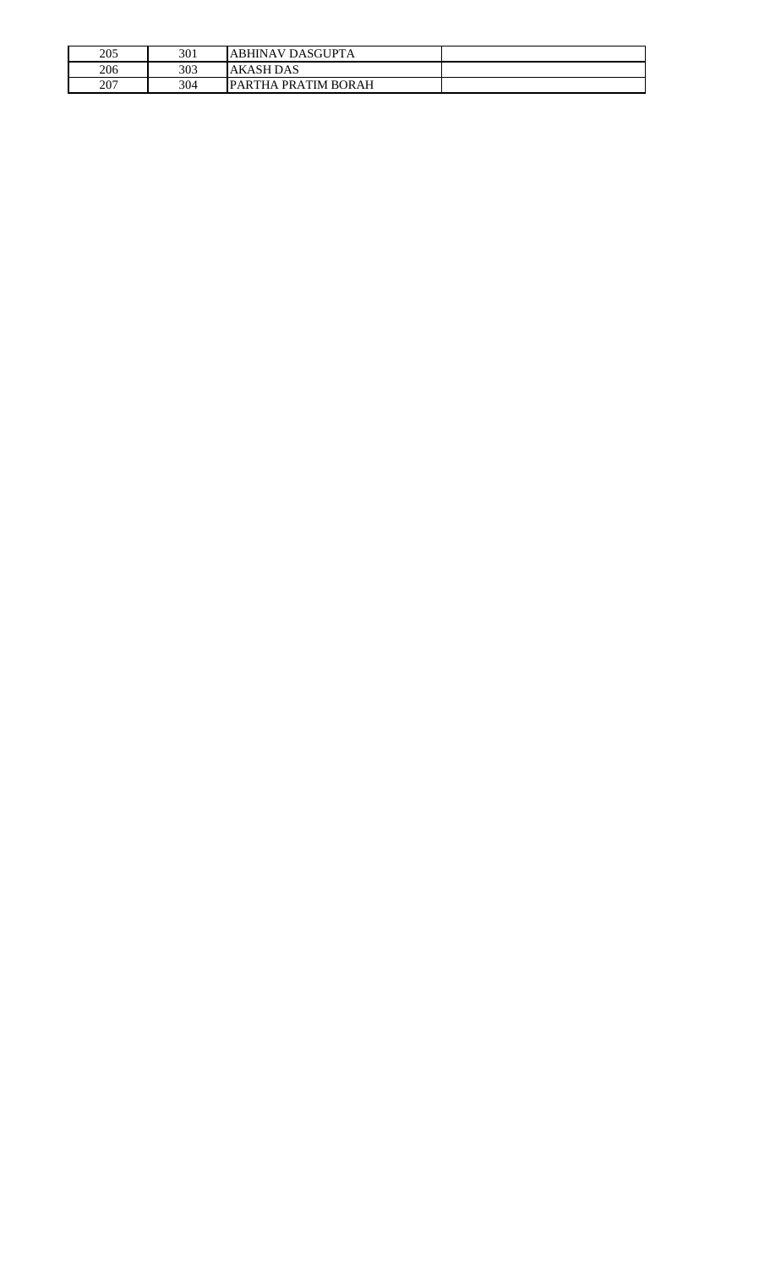| 205 | 301 | ABHINAV DASGUPTA     |  |
|-----|-----|----------------------|--|
| 206 | 303 | <b>AKASH DAS</b>     |  |
| 207 | 304 | IPARTHA PRATIM BORAH |  |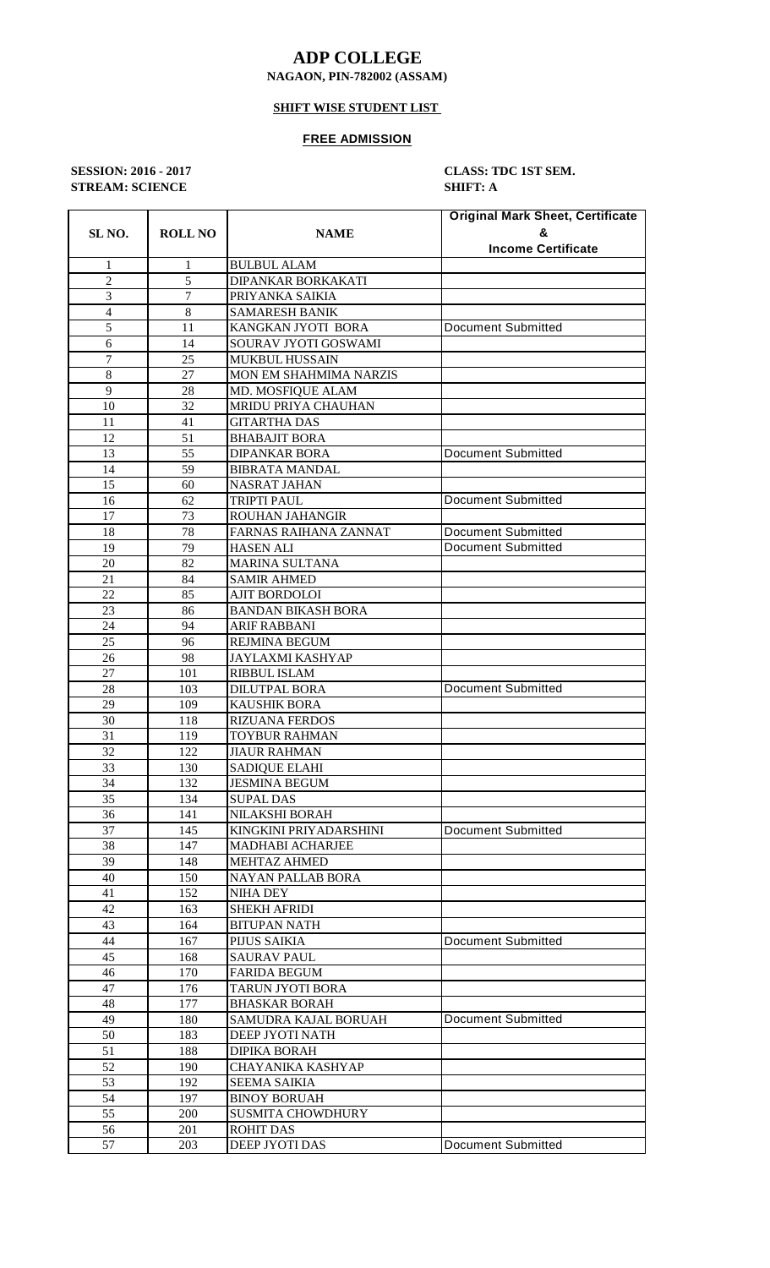## **ADP COLLEGE**

### **NAGAON, PIN-782002 (ASSAM)**

### **SHIFT WISE STUDENT LIST**

#### **FREE ADMISSION**

**STREAM: SCIENCE SHIFT: A**

**SESSION: 2016 - 2017 CLASS: TDC 1ST SEM.**

| SL <sub>NO.</sub> | <b>ROLL NO</b> | <b>NAME</b>               | <b>Original Mark Sheet, Certificate</b> |  |
|-------------------|----------------|---------------------------|-----------------------------------------|--|
|                   |                |                           | &                                       |  |
|                   |                |                           | <b>Income Certificate</b>               |  |
| 1                 | 1              | <b>BULBUL ALAM</b>        |                                         |  |
| $\overline{c}$    | 5              | DIPANKAR BORKAKATI        |                                         |  |
| 3                 | $\overline{7}$ | PRIYANKA SAIKIA           |                                         |  |
| $\overline{4}$    | 8              | <b>SAMARESH BANIK</b>     |                                         |  |
| 5                 | 11             | KANGKAN JYOTI BORA        | Document Submitted                      |  |
| 6                 | 14             | SOURAV JYOTI GOSWAMI      |                                         |  |
| 7                 | 25             | MUKBUL HUSSAIN            |                                         |  |
| 8                 | 27             | MON EM SHAHMIMA NARZIS    |                                         |  |
| 9                 | 28             | MD. MOSFIQUE ALAM         |                                         |  |
| 10                | 32             | MRIDU PRIYA CHAUHAN       |                                         |  |
| 11                | 41             | <b>GITARTHA DAS</b>       |                                         |  |
| 12                | 51             | <b>BHABAJIT BORA</b>      |                                         |  |
| 13                | 55             | <b>DIPANKAR BORA</b>      | <b>Document Submitted</b>               |  |
| 14                | 59             | <b>BIBRATA MANDAL</b>     |                                         |  |
| 15                | 60             | <b>NASRAT JAHAN</b>       |                                         |  |
| 16                | 62             | <b>TRIPTI PAUL</b>        | <b>Document Submitted</b>               |  |
| 17                | 73             | ROUHAN JAHANGIR           |                                         |  |
| 18                | 78             | FARNAS RAIHANA ZANNAT     | <b>Document Submitted</b>               |  |
| 19                | 79             | HASEN ALI                 | <b>Document Submitted</b>               |  |
| 20                | 82             | MARINA SULTANA            |                                         |  |
| 21                | 84             | <b>SAMIR AHMED</b>        |                                         |  |
| 22                | 85             | <b>AJIT BORDOLOI</b>      |                                         |  |
| 23                | 86             | <b>BANDAN BIKASH BORA</b> |                                         |  |
| 24                | 94             | <b>ARIF RABBANI</b>       |                                         |  |
| 25                | 96             | REJMINA BEGUM             |                                         |  |
| 26                | 98             | JAYLAXMI KASHYAP          |                                         |  |
| 27                | 101            | RIBBUL ISLAM              |                                         |  |
| 28                | 103            | <b>DILUTPAL BORA</b>      | <b>Document Submitted</b>               |  |
| 29                | 109            | KAUSHIK BORA              |                                         |  |
| 30                | 118            | RIZUANA FERDOS            |                                         |  |
| 31                | 119            | TOYBUR RAHMAN             |                                         |  |
| 32                | 122            | <b>JIAUR RAHMAN</b>       |                                         |  |
| 33                | 130            | <b>SADIQUE ELAHI</b>      |                                         |  |
| 34                | 132            | <b>JESMINA BEGUM</b>      |                                         |  |
| 35                | 134            | <b>SUPAL DAS</b>          |                                         |  |
| 36                | 141            | <b>NILAKSHI BORAH</b>     |                                         |  |
| 37                | 145            | KINGKINI PRIYADARSHINI    | <b>Document Submitted</b>               |  |
| 38                | 147            | <b>MADHABI ACHARJEE</b>   |                                         |  |
| 39                | 148            | <b>MEHTAZ AHMED</b>       |                                         |  |
| 40                | 150            | <b>NAYAN PALLAB BORA</b>  |                                         |  |
| 41                | 152            | NIHA DEY                  |                                         |  |
| 42                | 163            | SHEKH AFRIDI              |                                         |  |
| 43                | 164            | BITUPAN NATH              |                                         |  |
| 44                | 167            | PIJUS SAIKIA              | Document Submitted                      |  |
| 45                | 168            | SAURAV PAUL               |                                         |  |
| 46                | 170            | FARIDA BEGUM              |                                         |  |
| 47                | 176            | TARUN JYOTI BORA          |                                         |  |
| 48                | 177            | <b>BHASKAR BORAH</b>      |                                         |  |
| 49                | 180            | SAMUDRA KAJAL BORUAH      | <b>Document Submitted</b>               |  |
| 50                | 183            | DEEP JYOTI NATH           |                                         |  |
| 51                | 188            | DIPIKA BORAH              |                                         |  |
| 52                | 190            | CHAYANIKA KASHYAP         |                                         |  |
| 53                | 192            | <b>SEEMA SAIKIA</b>       |                                         |  |
| 54                | 197            | <b>BINOY BORUAH</b>       |                                         |  |
| 55                | 200            | SUSMITA CHOWDHURY         |                                         |  |
| 56                | 201            | ROHIT DAS                 |                                         |  |
| 57                | 203            | DEEP JYOTI DAS            | Document Submitted                      |  |
|                   |                |                           |                                         |  |